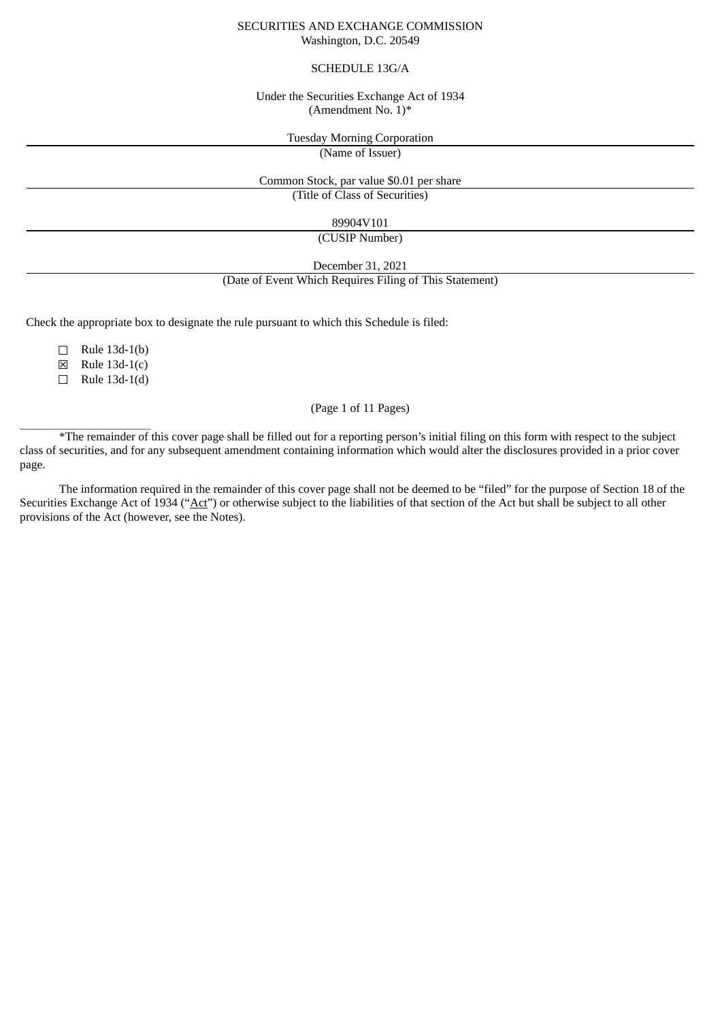#### SECURITIES AND EXCHANGE COMMISSION Washington, D.C. 20549

#### SCHEDULE 13G/A

#### Under the Securities Exchange Act of 1934 (Amendment No. 1)\*

Tuesday Morning Corporation

(Name of Issuer)

# Common Stock, par value \$0.01 per share

(Title of Class of Securities)

89904V101

(CUSIP Number)

December 31, 2021

#### (Date of Event Which Requires Filing of This Statement)

Check the appropriate box to designate the rule pursuant to which this Schedule is filed:

 $\Box$  Rule 13d-1(b)

☒ Rule 13d-1(c)

 $\Box$  Rule 13d-1(d)

\_\_\_\_\_\_\_\_\_\_\_\_\_\_\_\_\_\_\_\_\_\_\_\_\_\_\_\_\_\_

### (Page 1 of 11 Pages)

\*The remainder of this cover page shall be filled out for a reporting person's initial filing on this form with respect to the subject class of securities, and for any subsequent amendment containing information which would alter the disclosures provided in a prior cover page.

The information required in the remainder of this cover page shall not be deemed to be "filed" for the purpose of Section 18 of the Securities Exchange Act of 1934 ("Act") or otherwise subject to the liabilities of that section of the Act but shall be subject to all other provisions of the Act (however, see the Notes).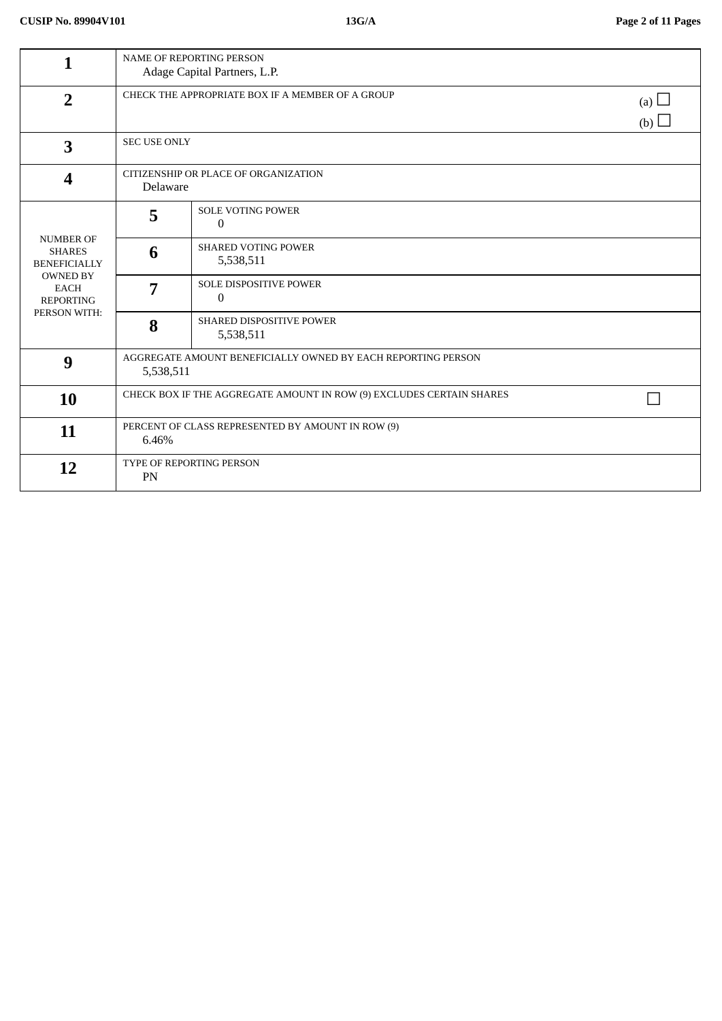| 1                                                                                                                              | NAME OF REPORTING PERSON<br>Adage Capital Partners, L.P.                     |                                               |  |
|--------------------------------------------------------------------------------------------------------------------------------|------------------------------------------------------------------------------|-----------------------------------------------|--|
| $\overline{2}$                                                                                                                 | CHECK THE APPROPRIATE BOX IF A MEMBER OF A GROUP<br>(a) $\Box$<br>(b) $\Box$ |                                               |  |
| $\overline{\mathbf{3}}$                                                                                                        | <b>SEC USE ONLY</b>                                                          |                                               |  |
| $\boldsymbol{4}$                                                                                                               | CITIZENSHIP OR PLACE OF ORGANIZATION<br>Delaware                             |                                               |  |
|                                                                                                                                | 5                                                                            | <b>SOLE VOTING POWER</b><br>$\mathbf{0}$      |  |
| <b>NUMBER OF</b><br><b>SHARES</b><br><b>BENEFICIALLY</b><br><b>OWNED BY</b><br><b>EACH</b><br><b>REPORTING</b><br>PERSON WITH: | 6                                                                            | <b>SHARED VOTING POWER</b><br>5,538,511       |  |
|                                                                                                                                | 7                                                                            | <b>SOLE DISPOSITIVE POWER</b><br>$\mathbf{0}$ |  |
|                                                                                                                                | 8                                                                            | SHARED DISPOSITIVE POWER<br>5,538,511         |  |
| 9                                                                                                                              | AGGREGATE AMOUNT BENEFICIALLY OWNED BY EACH REPORTING PERSON<br>5,538,511    |                                               |  |
| 10                                                                                                                             | CHECK BOX IF THE AGGREGATE AMOUNT IN ROW (9) EXCLUDES CERTAIN SHARES         |                                               |  |
| 11                                                                                                                             | PERCENT OF CLASS REPRESENTED BY AMOUNT IN ROW (9)<br>6.46%                   |                                               |  |
| 12                                                                                                                             | TYPE OF REPORTING PERSON<br>PN                                               |                                               |  |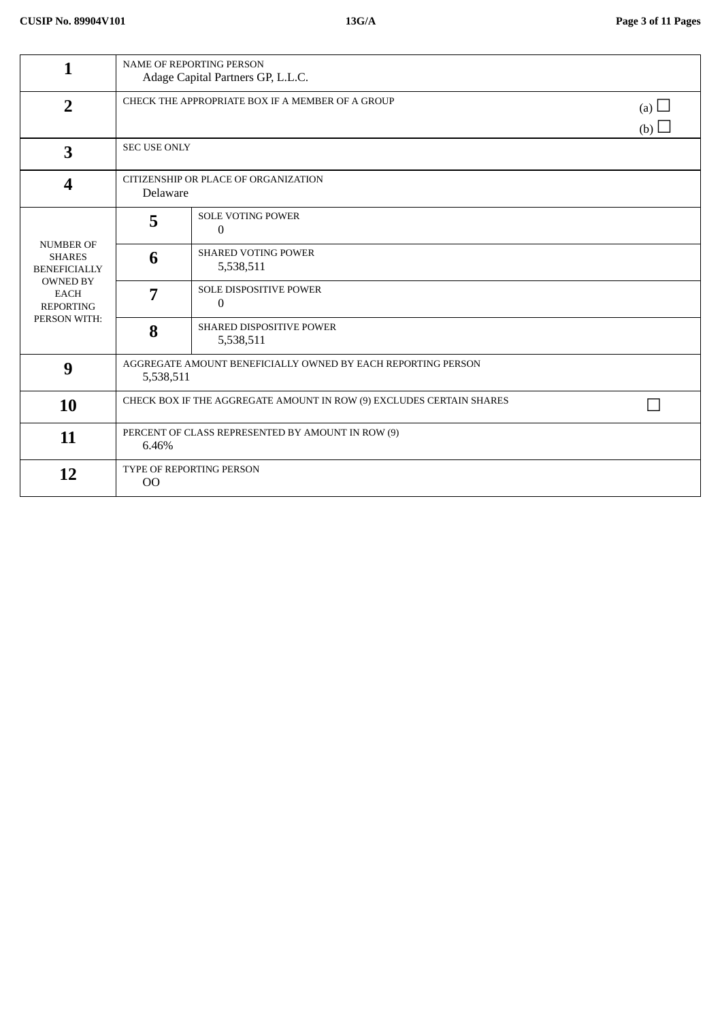| 1                                                                                                                              | <b>NAME OF REPORTING PERSON</b><br>Adage Capital Partners GP, L.L.C.         |                                               |  |
|--------------------------------------------------------------------------------------------------------------------------------|------------------------------------------------------------------------------|-----------------------------------------------|--|
| $\overline{2}$                                                                                                                 | CHECK THE APPROPRIATE BOX IF A MEMBER OF A GROUP<br>(a) $\Box$<br>(b) $\Box$ |                                               |  |
| 3                                                                                                                              | <b>SEC USE ONLY</b>                                                          |                                               |  |
| $\overline{\mathbf{4}}$                                                                                                        | CITIZENSHIP OR PLACE OF ORGANIZATION<br>Delaware                             |                                               |  |
| <b>NUMBER OF</b><br><b>SHARES</b><br><b>BENEFICIALLY</b><br><b>OWNED BY</b><br><b>EACH</b><br><b>REPORTING</b><br>PERSON WITH: | 5                                                                            | <b>SOLE VOTING POWER</b><br>$\mathbf{0}$      |  |
|                                                                                                                                | 6                                                                            | <b>SHARED VOTING POWER</b><br>5,538,511       |  |
|                                                                                                                                | 7                                                                            | <b>SOLE DISPOSITIVE POWER</b><br>$\mathbf{0}$ |  |
|                                                                                                                                | 8                                                                            | <b>SHARED DISPOSITIVE POWER</b><br>5,538,511  |  |
| 9                                                                                                                              | AGGREGATE AMOUNT BENEFICIALLY OWNED BY EACH REPORTING PERSON<br>5,538,511    |                                               |  |
| 10                                                                                                                             | CHECK BOX IF THE AGGREGATE AMOUNT IN ROW (9) EXCLUDES CERTAIN SHARES         |                                               |  |
| 11                                                                                                                             | PERCENT OF CLASS REPRESENTED BY AMOUNT IN ROW (9)<br>6.46%                   |                                               |  |
| 12                                                                                                                             | TYPE OF REPORTING PERSON<br>O <sub>O</sub>                                   |                                               |  |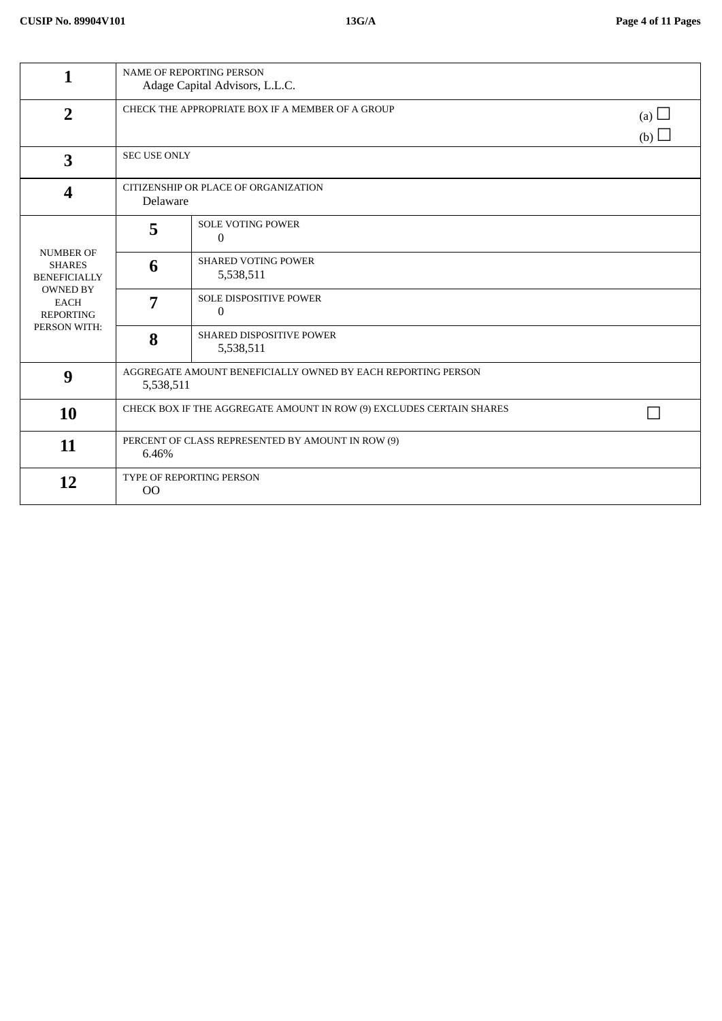| 1                                                                                                                              | NAME OF REPORTING PERSON<br>Adage Capital Advisors, L.L.C.                |                                         |            |
|--------------------------------------------------------------------------------------------------------------------------------|---------------------------------------------------------------------------|-----------------------------------------|------------|
| $\overline{2}$                                                                                                                 | CHECK THE APPROPRIATE BOX IF A MEMBER OF A GROUP<br>(b) $\Box$            |                                         | (a) $\Box$ |
| $\overline{\mathbf{3}}$                                                                                                        |                                                                           | <b>SEC USE ONLY</b>                     |            |
| $\boldsymbol{4}$                                                                                                               | CITIZENSHIP OR PLACE OF ORGANIZATION<br>Delaware                          |                                         |            |
|                                                                                                                                | 5                                                                         | <b>SOLE VOTING POWER</b><br>$\Omega$    |            |
| <b>NUMBER OF</b><br><b>SHARES</b><br><b>BENEFICIALLY</b><br><b>OWNED BY</b><br><b>EACH</b><br><b>REPORTING</b><br>PERSON WITH: | 6                                                                         | <b>SHARED VOTING POWER</b><br>5,538,511 |            |
|                                                                                                                                | 7                                                                         | <b>SOLE DISPOSITIVE POWER</b><br>0      |            |
|                                                                                                                                | 8                                                                         | SHARED DISPOSITIVE POWER<br>5,538,511   |            |
| 9                                                                                                                              | AGGREGATE AMOUNT BENEFICIALLY OWNED BY EACH REPORTING PERSON<br>5,538,511 |                                         |            |
| 10                                                                                                                             | CHECK BOX IF THE AGGREGATE AMOUNT IN ROW (9) EXCLUDES CERTAIN SHARES      |                                         |            |
| 11                                                                                                                             | PERCENT OF CLASS REPRESENTED BY AMOUNT IN ROW (9)<br>6.46%                |                                         |            |
| 12                                                                                                                             | TYPE OF REPORTING PERSON<br>$00\,$                                        |                                         |            |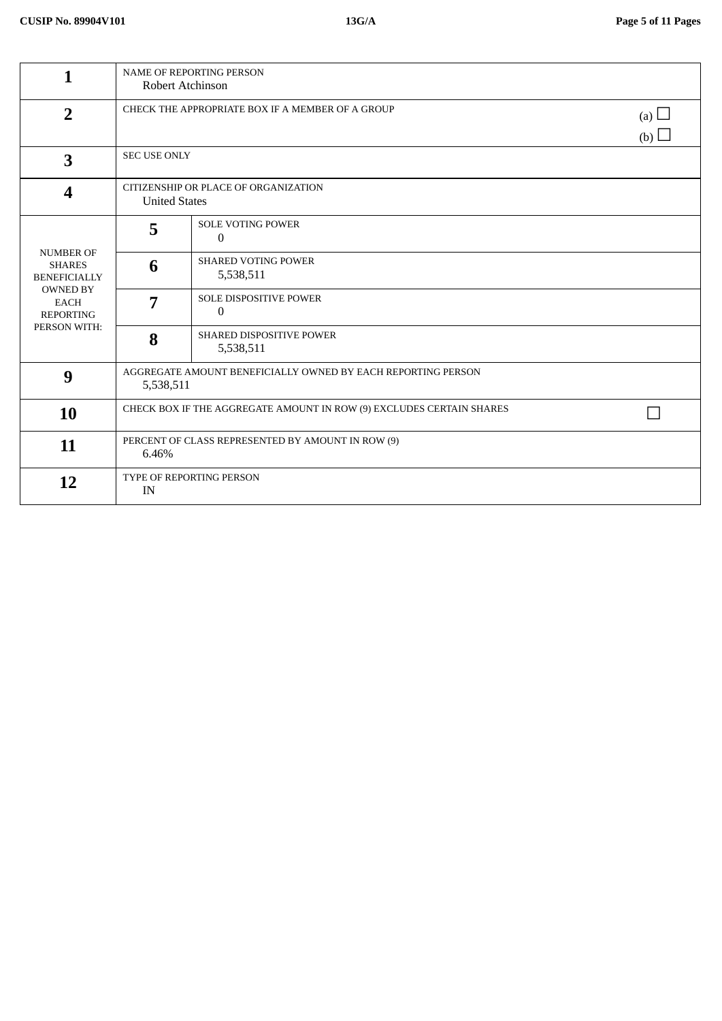| 1                                                                                                                              | NAME OF REPORTING PERSON<br>Robert Atchinson                                 |                                                 |  |
|--------------------------------------------------------------------------------------------------------------------------------|------------------------------------------------------------------------------|-------------------------------------------------|--|
| $\overline{2}$                                                                                                                 | CHECK THE APPROPRIATE BOX IF A MEMBER OF A GROUP<br>(a) $\Box$<br>(b) $\Box$ |                                                 |  |
| 3                                                                                                                              |                                                                              | <b>SEC USE ONLY</b>                             |  |
| 4                                                                                                                              | CITIZENSHIP OR PLACE OF ORGANIZATION<br><b>United States</b>                 |                                                 |  |
|                                                                                                                                | 5                                                                            | <b>SOLE VOTING POWER</b><br>$\overline{0}$      |  |
| <b>NUMBER OF</b><br><b>SHARES</b><br><b>BENEFICIALLY</b><br><b>OWNED BY</b><br><b>EACH</b><br><b>REPORTING</b><br>PERSON WITH: | 6                                                                            | <b>SHARED VOTING POWER</b><br>5,538,511         |  |
|                                                                                                                                | 7                                                                            | <b>SOLE DISPOSITIVE POWER</b><br>$\overline{0}$ |  |
|                                                                                                                                | 8                                                                            | SHARED DISPOSITIVE POWER<br>5,538,511           |  |
| 9                                                                                                                              | AGGREGATE AMOUNT BENEFICIALLY OWNED BY EACH REPORTING PERSON<br>5,538,511    |                                                 |  |
| 10                                                                                                                             | CHECK BOX IF THE AGGREGATE AMOUNT IN ROW (9) EXCLUDES CERTAIN SHARES         |                                                 |  |
| 11                                                                                                                             | PERCENT OF CLASS REPRESENTED BY AMOUNT IN ROW (9)<br>6.46%                   |                                                 |  |
| 12                                                                                                                             | TYPE OF REPORTING PERSON<br>IN                                               |                                                 |  |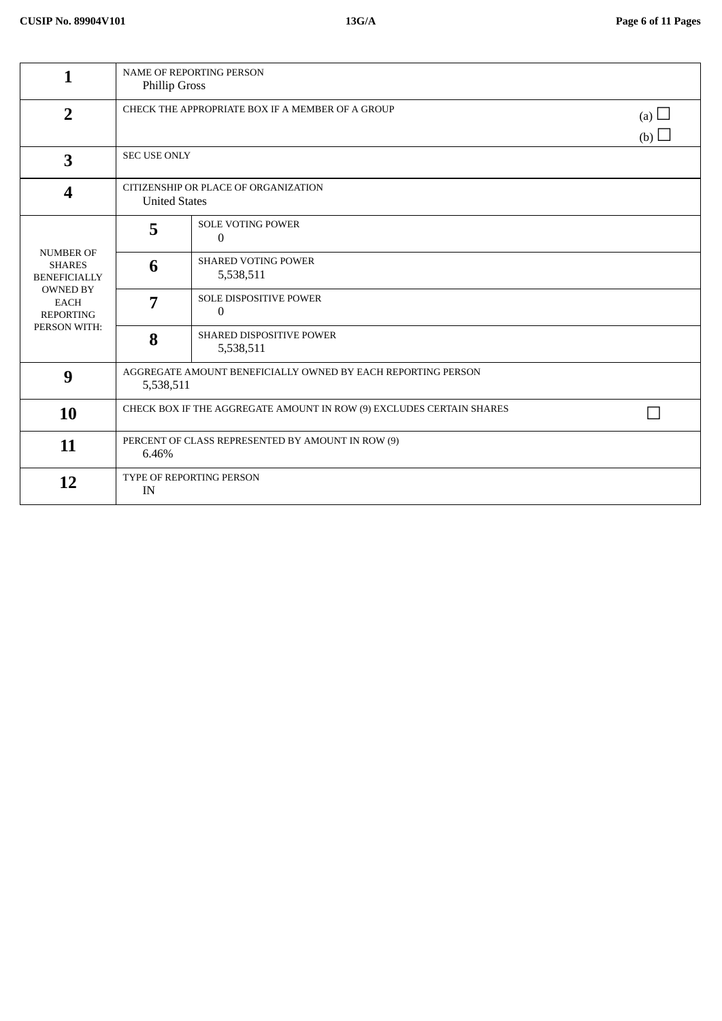| 1                                                                                                                              | NAME OF REPORTING PERSON<br>Phillip Gross                                    |                                            |  |
|--------------------------------------------------------------------------------------------------------------------------------|------------------------------------------------------------------------------|--------------------------------------------|--|
| $\overline{2}$                                                                                                                 | CHECK THE APPROPRIATE BOX IF A MEMBER OF A GROUP<br>(a) $\Box$<br>(b) $\Box$ |                                            |  |
| $\overline{\mathbf{3}}$                                                                                                        |                                                                              | <b>SEC USE ONLY</b>                        |  |
| 4                                                                                                                              | CITIZENSHIP OR PLACE OF ORGANIZATION<br><b>United States</b>                 |                                            |  |
|                                                                                                                                | 5                                                                            | <b>SOLE VOTING POWER</b><br>$\overline{0}$ |  |
| <b>NUMBER OF</b><br><b>SHARES</b><br><b>BENEFICIALLY</b><br><b>OWNED BY</b><br><b>EACH</b><br><b>REPORTING</b><br>PERSON WITH: | 6                                                                            | SHARED VOTING POWER<br>5,538,511           |  |
|                                                                                                                                | 7                                                                            | <b>SOLE DISPOSITIVE POWER</b><br>0         |  |
|                                                                                                                                | 8                                                                            | SHARED DISPOSITIVE POWER<br>5,538,511      |  |
| 9                                                                                                                              | AGGREGATE AMOUNT BENEFICIALLY OWNED BY EACH REPORTING PERSON<br>5,538,511    |                                            |  |
| 10                                                                                                                             | CHECK BOX IF THE AGGREGATE AMOUNT IN ROW (9) EXCLUDES CERTAIN SHARES         |                                            |  |
| 11                                                                                                                             | PERCENT OF CLASS REPRESENTED BY AMOUNT IN ROW (9)<br>6.46%                   |                                            |  |
| 12                                                                                                                             | TYPE OF REPORTING PERSON<br>IN                                               |                                            |  |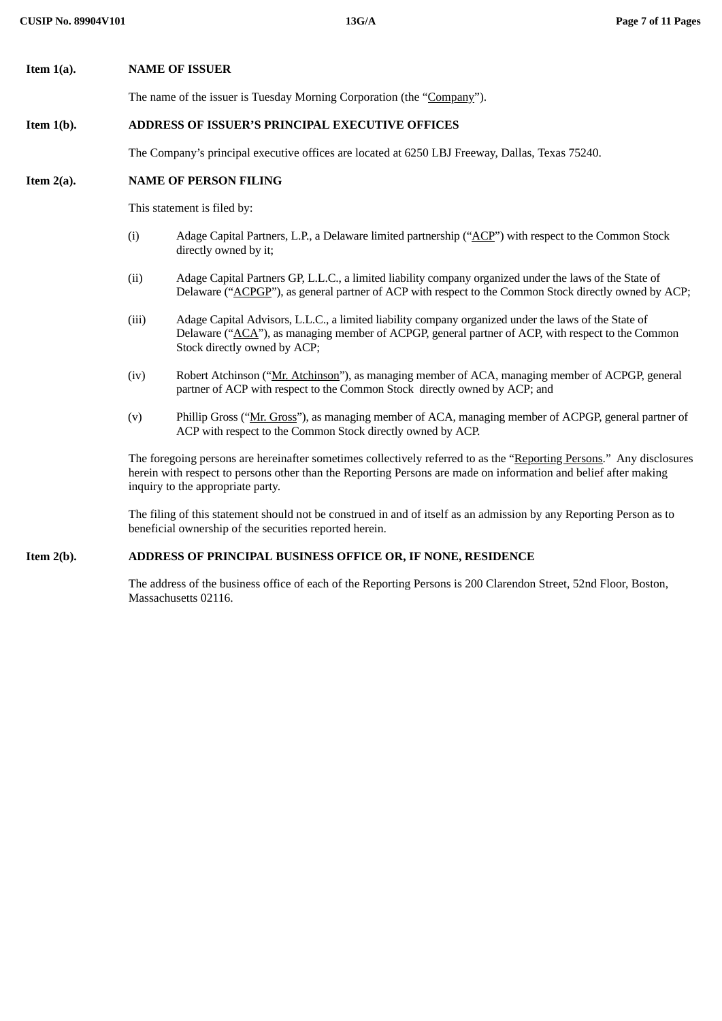| Item 1(a). | <b>NAME OF ISSUER</b> |  |
|------------|-----------------------|--|

The name of the issuer is Tuesday Morning Corporation (the "Company").

### **Item 1(b). ADDRESS OF ISSUER'S PRINCIPAL EXECUTIVE OFFICES**

The Company's principal executive offices are located at 6250 LBJ Freeway, Dallas, Texas 75240.

#### **Item 2(a). NAME OF PERSON FILING**

This statement is filed by:

- (i) Adage Capital Partners, L.P., a Delaware limited partnership ("ACP") with respect to the Common Stock directly owned by it;
- (ii) Adage Capital Partners GP, L.L.C., a limited liability company organized under the laws of the State of Delaware ("ACPGP"), as general partner of ACP with respect to the Common Stock directly owned by ACP;
- (iii) Adage Capital Advisors, L.L.C., a limited liability company organized under the laws of the State of Delaware ("ACA"), as managing member of ACPGP, general partner of ACP, with respect to the Common Stock directly owned by ACP;
- (iv) Robert Atchinson ("Mr. Atchinson"), as managing member of ACA, managing member of ACPGP, general partner of ACP with respect to the Common Stock directly owned by ACP; and
- (v) Phillip Gross ("Mr. Gross"), as managing member of ACA, managing member of ACPGP, general partner of ACP with respect to the Common Stock directly owned by ACP.

The foregoing persons are hereinafter sometimes collectively referred to as the "Reporting Persons." Any disclosures herein with respect to persons other than the Reporting Persons are made on information and belief after making inquiry to the appropriate party.

The filing of this statement should not be construed in and of itself as an admission by any Reporting Person as to beneficial ownership of the securities reported herein.

#### **Item 2(b). ADDRESS OF PRINCIPAL BUSINESS OFFICE OR, IF NONE, RESIDENCE**

The address of the business office of each of the Reporting Persons is 200 Clarendon Street, 52nd Floor, Boston, Massachusetts 02116.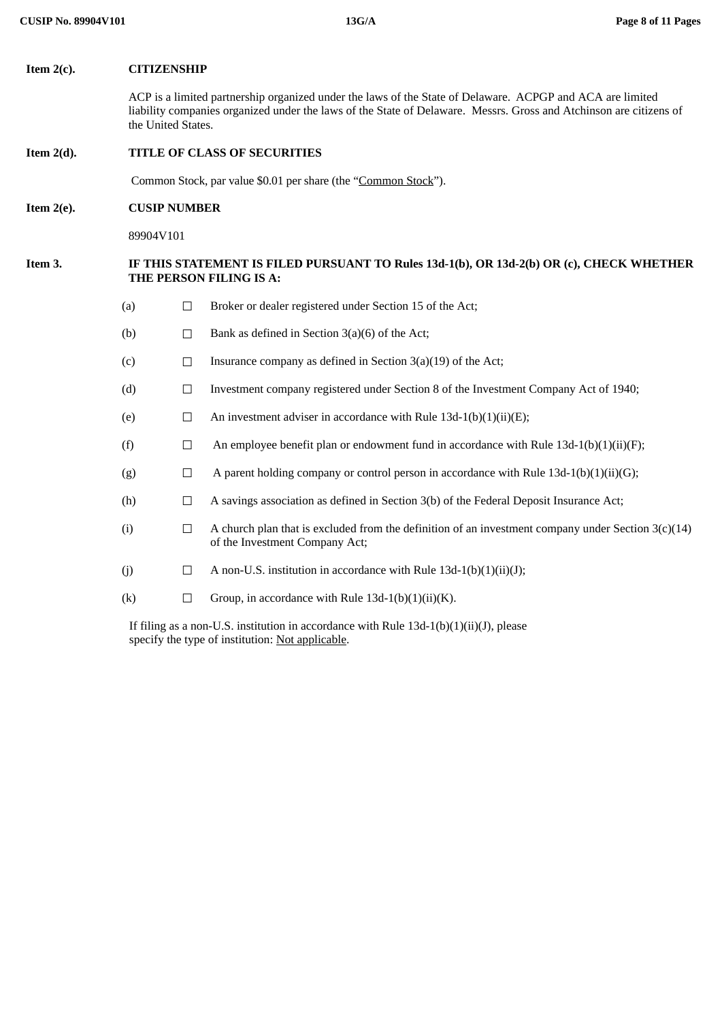#### **Item 2(c). CITIZENSHIP**

ACP is a limited partnership organized under the laws of the State of Delaware. ACPGP and ACA are limited liability companies organized under the laws of the State of Delaware. Messrs. Gross and Atchinson are citizens of the United States.

#### **Item 2(d). TITLE OF CLASS OF SECURITIES**

Common Stock, par value \$0.01 per share (the "Common Stock").

#### **Item 2(e). CUSIP NUMBER**

89904V101

#### **Item 3. IF THIS STATEMENT IS FILED PURSUANT TO Rules 13d-1(b), OR 13d-2(b) OR (c), CHECK WHETHER THE PERSON FILING IS A:**

- (a) ☐ Broker or dealer registered under Section 15 of the Act;
- (b)  $\Box$  Bank as defined in Section 3(a)(6) of the Act;
- (c)  $\Box$  Insurance company as defined in Section 3(a)(19) of the Act;
- (d) ☐ Investment company registered under Section 8 of the Investment Company Act of 1940;
- (e)  $\Box$  An investment adviser in accordance with Rule 13d-1(b)(1)(ii)(E);
- (f)  $\Box$  An employee benefit plan or endowment fund in accordance with Rule 13d-1(b)(1)(ii)(F);
- (g)  $\Box$  A parent holding company or control person in accordance with Rule 13d-1(b)(1)(ii)(G);
- (h)  $\Box$  A savings association as defined in Section 3(b) of the Federal Deposit Insurance Act;
- (i)  $\Box$  A church plan that is excluded from the definition of an investment company under Section 3(c)(14) of the Investment Company Act;
- (i)  $\Box$  A non-U.S. institution in accordance with Rule 13d-1(b)(1)(ii)(J);
- (k)  $\Box$  Group, in accordance with Rule 13d-1(b)(1)(ii)(K).

If filing as a non-U.S. institution in accordance with Rule  $13d-1(b)(1)(ii)(J)$ , please specify the type of institution: Not applicable.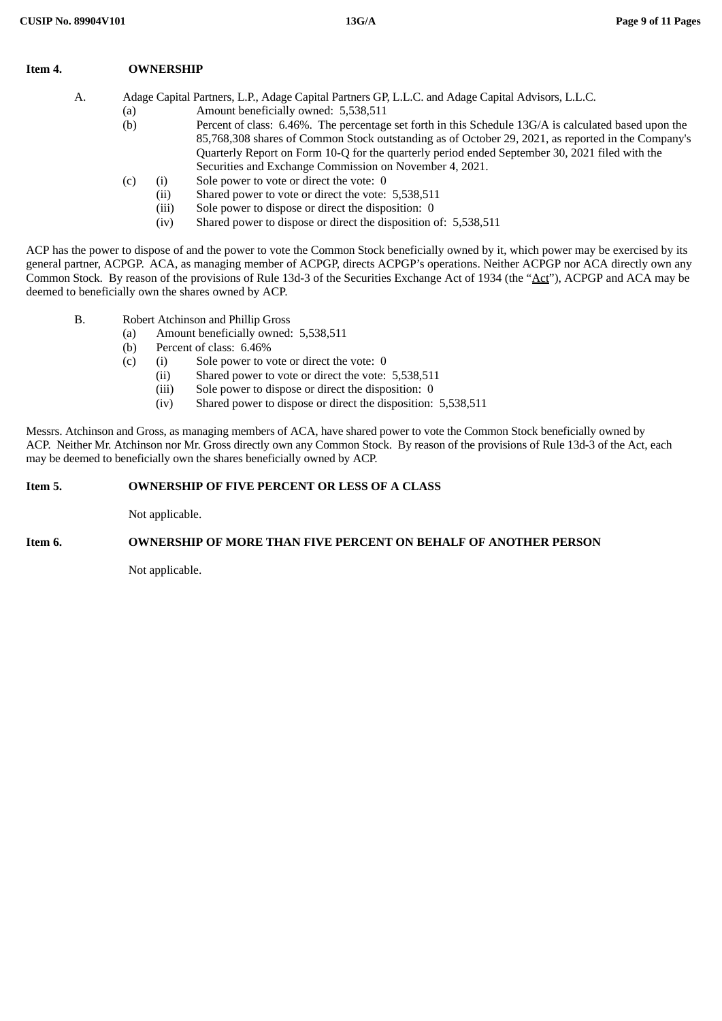| Item 4. | <b>OWNERSHIP</b> |
|---------|------------------|
|         |                  |

A. Adage Capital Partners, L.P., Adage Capital Partners GP, L.L.C. and Adage Capital Advisors, L.L.C.

- (a) Amount beneficially owned: 5,538,511
- (b) Percent of class: 6.46%. The percentage set forth in this Schedule 13G/A is calculated based upon the 85,768,308 shares of Common Stock outstanding as of October 29, 2021, as reported in the Company's Quarterly Report on Form 10-Q for the quarterly period ended September 30, 2021 filed with the Securities and Exchange Commission on November 4, 2021.
- (c) (i) Sole power to vote or direct the vote: 0
	- (ii) Shared power to vote or direct the vote: 5,538,511
		- (iii) Sole power to dispose or direct the disposition: 0
		- (iv) Shared power to dispose or direct the disposition of: 5,538,511

ACP has the power to dispose of and the power to vote the Common Stock beneficially owned by it, which power may be exercised by its general partner, ACPGP. ACA, as managing member of ACPGP, directs ACPGP's operations. Neither ACPGP nor ACA directly own any Common Stock. By reason of the provisions of Rule 13d-3 of the Securities Exchange Act of 1934 (the "Act"), ACPGP and ACA may be deemed to beneficially own the shares owned by ACP.

- B. Robert Atchinson and Phillip Gross
	- (a) Amount beneficially owned: 5,538,511
	- (b) Percent of class: 6.46%
	- (c) (i) Sole power to vote or direct the vote: 0
		- (ii) Shared power to vote or direct the vote: 5,538,511
		- (iii) Sole power to dispose or direct the disposition: 0
		- (iv) Shared power to dispose or direct the disposition: 5,538,511

Messrs. Atchinson and Gross, as managing members of ACA, have shared power to vote the Common Stock beneficially owned by ACP. Neither Mr. Atchinson nor Mr. Gross directly own any Common Stock. By reason of the provisions of Rule 13d-3 of the Act, each may be deemed to beneficially own the shares beneficially owned by ACP.

#### **Item 5. OWNERSHIP OF FIVE PERCENT OR LESS OF A CLASS**

Not applicable.

#### **Item 6. OWNERSHIP OF MORE THAN FIVE PERCENT ON BEHALF OF ANOTHER PERSON**

Not applicable.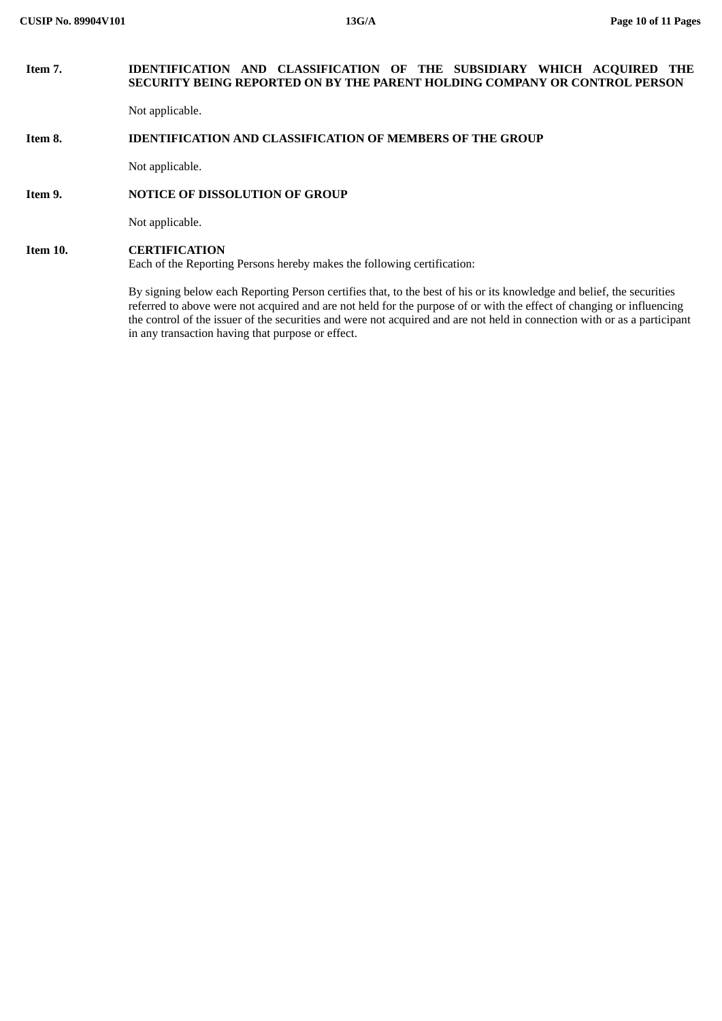## **Item 7. IDENTIFICATION AND CLASSIFICATION OF THE SUBSIDIARY WHICH ACQUIRED THE SECURITY BEING REPORTED ON BY THE PARENT HOLDING COMPANY OR CONTROL PERSON**

Not applicable.

## **Item 8. IDENTIFICATION AND CLASSIFICATION OF MEMBERS OF THE GROUP**

Not applicable.

### **Item 9. NOTICE OF DISSOLUTION OF GROUP**

Not applicable.

## **Item 10. CERTIFICATION**

Each of the Reporting Persons hereby makes the following certification:

By signing below each Reporting Person certifies that, to the best of his or its knowledge and belief, the securities referred to above were not acquired and are not held for the purpose of or with the effect of changing or influencing the control of the issuer of the securities and were not acquired and are not held in connection with or as a participant in any transaction having that purpose or effect.